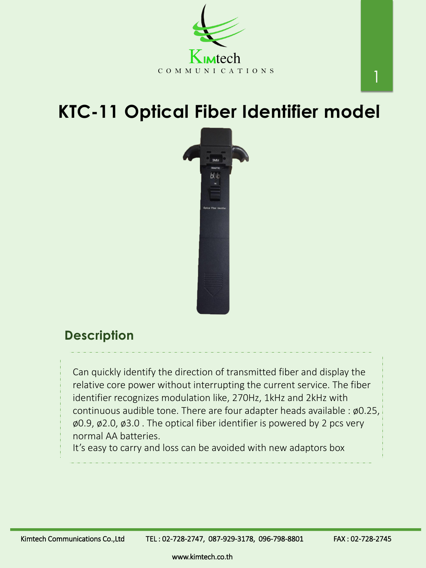# **KTC-11 Optical Fiber Identifier model**





### **Description**

www.kimtech.co.th

Can quickly identify the direction of transmitted fiber and display the relative core power without interrupting the current service. The fiber identifier recognizes modulation like, 270Hz, 1kHz and 2kHz with continuous audible tone. There are four adapter heads available : ø0.25, ø0.9, ø2.0, ø3.0 . The optical fiber identifier is powered by 2 pcs very normal AA batteries. It's easy to carry and loss can be avoided with new adaptors box

Kimtech Communications Co.,Ltd TEL: 02-728-2747, 087-929-3178, 096-798-8801 FAX: 02-728-2745

1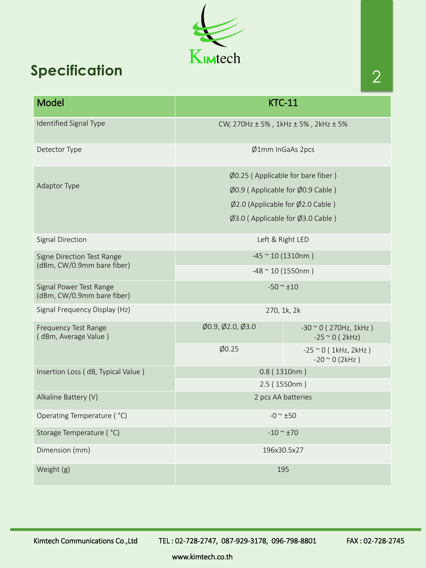www.kimtech.co.th

Kimtech

## **Specification**

| Model                                                    | <b>KTC-11</b>                                             |                                                       |
|----------------------------------------------------------|-----------------------------------------------------------|-------------------------------------------------------|
| <b>Identified Signal Type</b>                            | CW, $270$ Hz $\pm$ 5%, $1$ kHz $\pm$ 5%, $2$ kHz $\pm$ 5% |                                                       |
| Detector Type                                            | $\emptyset$ 1mm InGaAs 2pcs                               |                                                       |
| <b>Adaptor Type</b>                                      | $\emptyset$ 0.25 (Applicable for bare fiber)              |                                                       |
|                                                          | $\emptyset$ 0.9 (Applicable for $\emptyset$ 0.9 Cable)    |                                                       |
|                                                          | $\emptyset$ 2.0 (Applicable for $\emptyset$ 2.0 Cable)    |                                                       |
|                                                          | $\emptyset$ 3.0 (Applicable for $\emptyset$ 3.0 Cable)    |                                                       |
| <b>Signal Direction</b>                                  | Left & Right LED                                          |                                                       |
| Signe Direction Test Range<br>(dBm, CW/0.9mm bare fiber) | $-45$ $\sim$ 10 (1310nm)                                  |                                                       |
|                                                          | $-48 \approx 10 (1550nm)$                                 |                                                       |
| Signal Power Test Range<br>(dBm, CW/0.9mm bare fiber)    | $-50 \approx \pm 10$                                      |                                                       |
| Signal Frequency Display (Hz)                            | 270, 1k, 2k                                               |                                                       |
| <b>Frequency Test Range</b><br>(dBm, Average Value)      | $\emptyset$ 0.9, $\emptyset$ 2.0, $\emptyset$ 3.0         | $-30$ $\sim$ 0 (270Hz, 1kHz)<br>$-25$ $\sim$ 0 (2kHz) |
|                                                          | $\phi$ 0.25                                               | $-25$ $\sim$ 0 (1kHz, 2kHz)<br>$-20$ $\sim$ 0 (2kHz)  |
| Insertion Loss (dB, Typical Value)                       | 0.8(1310nm)                                               |                                                       |
|                                                          | 2.5(1550nm)                                               |                                                       |
| Alkaline Battery (V)                                     | 2 pcs AA batteries                                        |                                                       |
| Operating Temperature ( °C)                              | $-0 \approx \pm 50$                                       |                                                       |
| Storage Temperature ( °C)                                | $-10 \sim \pm 70$                                         |                                                       |
| Dimension (mm)                                           | 196x30.5x27                                               |                                                       |
| Weight (g)                                               | 195                                                       |                                                       |

Kimtech Communications Co.,Ltd TEL: 02-728-2747, 087-929-3178, 096-798-8801 FAX: 02-728-2745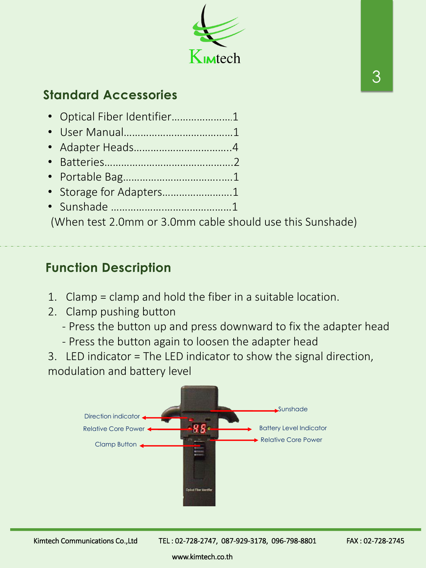- Optical Fiber Identifier………………….1
- User Manual…………………………………1
- Adapter Heads……………………………..4
- Batteries……………………………………….2
- Portable Bag……………………………..….1
- Storage for Adapters…………………….1
- Sunshade ……………….……………………1

(When test 2.0mm or 3.0mm cable should use this Sunshade)



## **Standard Accessories**

## **Function Description**

- 1. Clamp = clamp and hold the fiber in a suitable location.
- 2. Clamp pushing button
	- Press the button up and press downward to fix the adapter head
	- Press the button again to loosen the adapter head
- 3. LED indicator = The LED indicator to show the signal direction, modulation and battery level



Kimtech Communications Co.,Ltd TEL: 02-728-2747, 087-929-3178, 096-798-8801 FAX: 02-728-2745

www.kimtech.co.th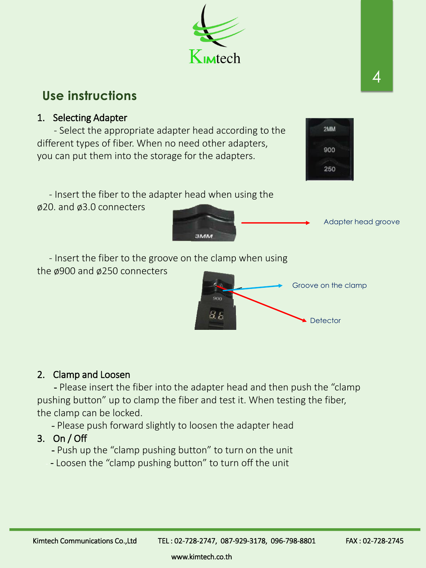4

## **Use instructions**

#### 1. Selecting Adapter

- Select the appropriate adapter head according to the different types of fiber. When no need other adapters, you can put them into the storage for the adapters.

- Insert the fiber to the adapter head when using the ø20. and ø3.0 connecters

- Please insert the fiber into the adapter head and then push the "clamp pushing button" up to clamp the fiber and test it. When testing the fiber, the clamp can be locked.

- Please push forward slightly to loosen the adapter head
- 3. On / Off
	- Push up the "clamp pushing button" to turn on the unit
	- Loosen the "clamp pushing button" to turn off the unit

**3MM** 

900

Kimtech Communications Co.,Ltd TEL: 02-728-2747, 087-929-3178, 096-798-8801 FAX: 02-728-2745

 $46$ 

- Insert the fiber to the groove on the clamp when using the ø900 and ø250 connecters

Adapter head groove





**Detector** 

#### 2. Clamp and Loosen

www.kimtech.co.th